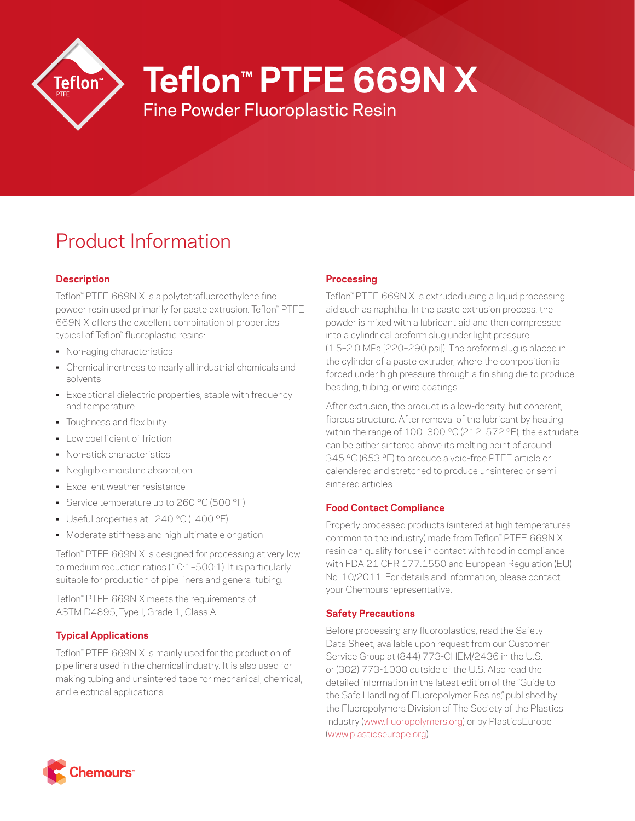

# **Teflon™ PTFE 669N X**

Fine Powder Fluoroplastic Resin

# Product Information

# **Description**

Teflon™ PTFE 669N X is a polytetrafluoroethylene fine powder resin used primarily for paste extrusion. Teflon™ PTFE 669N X offers the excellent combination of properties typical of Teflon™ fluoroplastic resins:

- Non-aging characteristics
- Chemical inertness to nearly all industrial chemicals and solvents
- Exceptional dielectric properties, stable with frequency and temperature
- Toughness and flexibility
- Low coefficient of friction
- Non-stick characteristics
- Negligible moisture absorption
- Excellent weather resistance
- Service temperature up to 260 °C (500 °F)
- Useful properties at –240 °C (–400 °F)
- Moderate stiffness and high ultimate elongation

Teflon™ PTFE 669N X is designed for processing at very low to medium reduction ratios (10:1–500:1). It is particularly suitable for production of pipe liners and general tubing.

Teflon™ PTFE 669N X meets the requirements of ASTM D4895, Type I, Grade 1, Class A.

# **Typical Applications**

Teflon™ PTFE 669N X is mainly used for the production of pipe liners used in the chemical industry. It is also used for making tubing and unsintered tape for mechanical, chemical, and electrical applications.

# **Processing**

Teflon™ PTFE 669N X is extruded using a liquid processing aid such as naphtha. In the paste extrusion process, the powder is mixed with a lubricant aid and then compressed into a cylindrical preform slug under light pressure (1.5–2.0 MPa [220–290 psi]). The preform slug is placed in the cylinder of a paste extruder, where the composition is forced under high pressure through a finishing die to produce beading, tubing, or wire coatings.

After extrusion, the product is a low-density, but coherent, fibrous structure. After removal of the lubricant by heating within the range of 100–300 °C (212–572 °F), the extrudate can be either sintered above its melting point of around 345 °C (653 °F) to produce a void-free PTFE article or calendered and stretched to produce unsintered or semisintered articles.

# **Food Contact Compliance**

Properly processed products (sintered at high temperatures common to the industry) made from Teflon™ PTFE 669N X resin can qualify for use in contact with food in compliance with FDA 21 CFR 177.1550 and European Regulation (EU) No. 10/2011. For details and information, please contact your Chemours representative.

# **Safety Precautions**

Before processing any fluoroplastics, read the Safety Data Sheet, available upon request from our Customer Service Group at (844) 773-CHEM/2436 in the U.S. or (302) 773-1000 outside of the U.S. Also read the detailed information in the latest edition of the "Guide to the Safe Handling of Fluoropolymer Resins," published by the Fluoropolymers Division of The Society of the Plastics Industry ([www.fluoropolymers.org](http://www.fluoropolymers.org)) or by PlasticsEurope [\(www.plasticseurope.org](http://www.plasticseurope.org)).